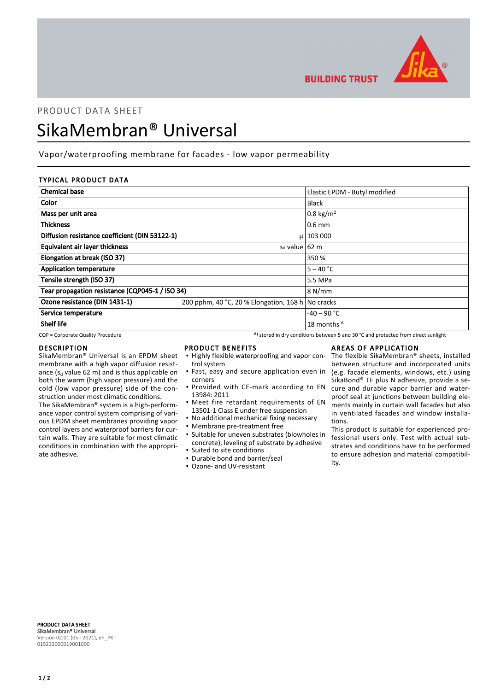

**BUILDING TRUST** 

# PRODUCT DATA SHEET SikaMembran® Universal

# Vapor/waterproofing membrane for facades - low vapor permeability

# TYPICAL PRODUCT DATA

| <b>Chemical base</b>                            |                                                   | Elastic EPDM - Butyl modified |
|-------------------------------------------------|---------------------------------------------------|-------------------------------|
| <b>Color</b>                                    |                                                   | <b>Black</b>                  |
| Mass per unit area                              |                                                   | 0.8 kg/m <sup>2</sup>         |
| <b>Thickness</b>                                |                                                   | $0.6$ mm                      |
| Diffusion resistance coefficient (DIN 53122-1)  |                                                   | $\mu$   103 000               |
| Equivalent air layer thickness                  | s <sub>d</sub> value 62 m                         |                               |
| Elongation at break (ISO 37)                    |                                                   | 350 %                         |
| <b>Application temperature</b>                  |                                                   | $5 - 40 °C$                   |
| Tensile strength (ISO 37)                       |                                                   | 5.5 MPa                       |
| Tear propagation resistance (CQP045-1 / ISO 34) |                                                   | 8 N/mm                        |
| Ozone resistance (DIN 1431-1)                   | 200 pphm, 40 °C, 20 % Elongation, 168 h No cracks |                               |
| Service temperature                             |                                                   | $-40 - 90$ °C                 |
| Shelf life                                      |                                                   | 18 months A                   |

 $CQP$  = Corporate Quality Procedure  $A)$  stored in dry conditions between 5 and 30 °C and protected from direct sunlight

#### DESCRIPTION

SikaMembran® Universal is an EPDM sheet membrane with a high vapor diffusion resistance ( $s_d$  value 62 m) and is thus applicable on both the warm (high vapor pressure) and the cold (low vapor pressure) side of the construction under most climatic conditions.

The SikaMembran® system is a high-performance vapor control system comprising of various EPDM sheet membranes providing vapor control layers and waterproof barriers for curtain walls. They are suitable for most climatic conditions in combination with the appropriate adhesive.

#### PRODUCT BENEFITS

- **.** Highly flexible waterproofing and vapor control system
- **·** Fast, easy and secure application even in corners
- **Provided with CE-mark according to EN** 13984: 2011
- **•** Meet fire retardant requirements of EN 13501-1 Class E under free suspension
- No additional mechanical fixing necessary
- Membrane pre-treatment free
- Suitable for uneven substrates (blowholes in concrete), leveling of substrate by adhesive ▪ Suited to site conditions
- Durable bond and barrier/seal
- Ozone- and UV-resistant

# AREAS OF APPLICATION

The flexible SikaMembran® sheets, installed between structure and incorporated units (e.g. facade elements, windows, etc.) using SikaBond® TF plus N adhesive, provide a secure and durable vapor barrier and waterproof seal at junctions between building elements mainly in curtain wall facades but also in ventilated facades and window installations.

This product is suitable for experienced professional users only. Test with actual substrates and conditions have to be performed to ensure adhesion and material compatibility.

PRODUCT DATA SHEET SikaMembran® Universal Version 02.01 (05 - 2021), en\_PK 015232000019001000